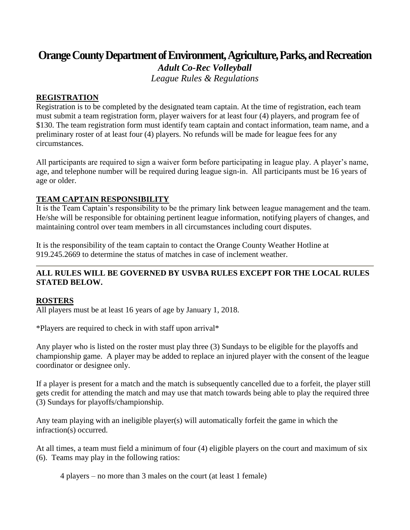# **Orange County Department of Environment, Agriculture, Parks, and Recreation**

*Adult Co-Rec Volleyball League Rules & Regulations*

#### **REGISTRATION**

Registration is to be completed by the designated team captain. At the time of registration, each team must submit a team registration form, player waivers for at least four (4) players, and program fee of \$130. The team registration form must identify team captain and contact information, team name, and a preliminary roster of at least four (4) players. No refunds will be made for league fees for any circumstances.

All participants are required to sign a waiver form before participating in league play. A player's name, age, and telephone number will be required during league sign-in. All participants must be 16 years of age or older.

#### **TEAM CAPTAIN RESPONSIBILITY**

It is the Team Captain's responsibility to be the primary link between league management and the team. He/she will be responsible for obtaining pertinent league information, notifying players of changes, and maintaining control over team members in all circumstances including court disputes.

It is the responsibility of the team captain to contact the Orange County Weather Hotline at 919.245.2669 to determine the status of matches in case of inclement weather.

# **ALL RULES WILL BE GOVERNED BY USVBA RULES EXCEPT FOR THE LOCAL RULES STATED BELOW.**

#### **ROSTERS**

All players must be at least 16 years of age by January 1, 2018.

\*Players are required to check in with staff upon arrival\*

Any player who is listed on the roster must play three (3) Sundays to be eligible for the playoffs and championship game. A player may be added to replace an injured player with the consent of the league coordinator or designee only.

If a player is present for a match and the match is subsequently cancelled due to a forfeit, the player still gets credit for attending the match and may use that match towards being able to play the required three (3) Sundays for playoffs/championship.

Any team playing with an ineligible player(s) will automatically forfeit the game in which the infraction(s) occurred.

At all times, a team must field a minimum of four (4) eligible players on the court and maximum of six (6). Teams may play in the following ratios:

4 players – no more than 3 males on the court (at least 1 female)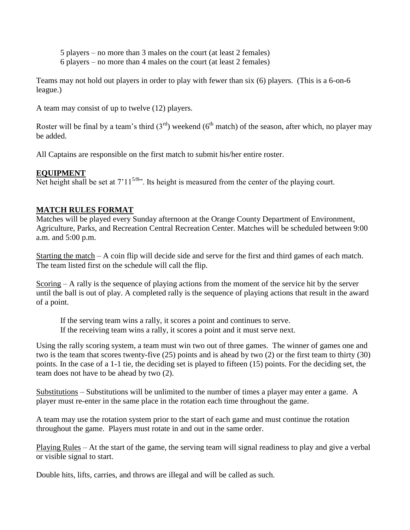5 players – no more than 3 males on the court (at least 2 females)

6 players – no more than 4 males on the court (at least 2 females)

Teams may not hold out players in order to play with fewer than six (6) players. (This is a 6-on-6 league.)

A team may consist of up to twelve (12) players.

Roster will be final by a team's third  $(3<sup>rd</sup>)$  weekend  $(6<sup>th</sup>$  match) of the season, after which, no player may be added.

All Captains are responsible on the first match to submit his/her entire roster.

# **EQUIPMENT**

Net height shall be set at  $7'11^{5/8}$ . Its height is measured from the center of the playing court.

# **MATCH RULES FORMAT**

Matches will be played every Sunday afternoon at the Orange County Department of Environment, Agriculture, Parks, and Recreation Central Recreation Center. Matches will be scheduled between 9:00 a.m. and 5:00 p.m.

Starting the match – A coin flip will decide side and serve for the first and third games of each match. The team listed first on the schedule will call the flip.

Scoring – A rally is the sequence of playing actions from the moment of the service hit by the server until the ball is out of play. A completed rally is the sequence of playing actions that result in the award of a point.

If the serving team wins a rally, it scores a point and continues to serve. If the receiving team wins a rally, it scores a point and it must serve next.

Using the rally scoring system, a team must win two out of three games. The winner of games one and two is the team that scores twenty-five (25) points and is ahead by two (2) or the first team to thirty (30) points. In the case of a 1-1 tie, the deciding set is played to fifteen (15) points. For the deciding set, the team does not have to be ahead by two (2).

Substitutions – Substitutions will be unlimited to the number of times a player may enter a game. A player must re-enter in the same place in the rotation each time throughout the game.

A team may use the rotation system prior to the start of each game and must continue the rotation throughout the game. Players must rotate in and out in the same order.

Playing Rules – At the start of the game, the serving team will signal readiness to play and give a verbal or visible signal to start.

Double hits, lifts, carries, and throws are illegal and will be called as such.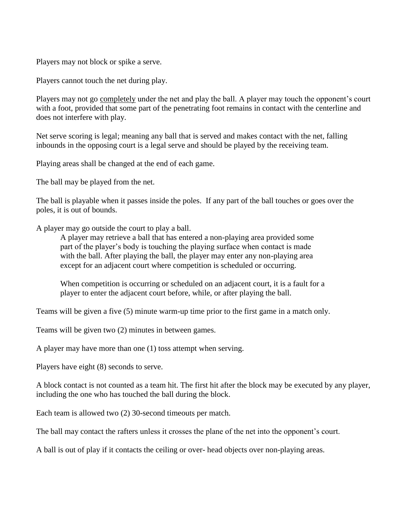Players may not block or spike a serve.

Players cannot touch the net during play.

Players may not go completely under the net and play the ball. A player may touch the opponent's court with a foot, provided that some part of the penetrating foot remains in contact with the centerline and does not interfere with play.

Net serve scoring is legal; meaning any ball that is served and makes contact with the net, falling inbounds in the opposing court is a legal serve and should be played by the receiving team.

Playing areas shall be changed at the end of each game.

The ball may be played from the net.

The ball is playable when it passes inside the poles. If any part of the ball touches or goes over the poles, it is out of bounds.

A player may go outside the court to play a ball.

A player may retrieve a ball that has entered a non-playing area provided some part of the player's body is touching the playing surface when contact is made with the ball. After playing the ball, the player may enter any non-playing area except for an adjacent court where competition is scheduled or occurring.

When competition is occurring or scheduled on an adjacent court, it is a fault for a player to enter the adjacent court before, while, or after playing the ball.

Teams will be given a five (5) minute warm-up time prior to the first game in a match only.

Teams will be given two (2) minutes in between games.

A player may have more than one (1) toss attempt when serving.

Players have eight (8) seconds to serve.

A block contact is not counted as a team hit. The first hit after the block may be executed by any player, including the one who has touched the ball during the block.

Each team is allowed two (2) 30-second timeouts per match.

The ball may contact the rafters unless it crosses the plane of the net into the opponent's court.

A ball is out of play if it contacts the ceiling or over- head objects over non-playing areas.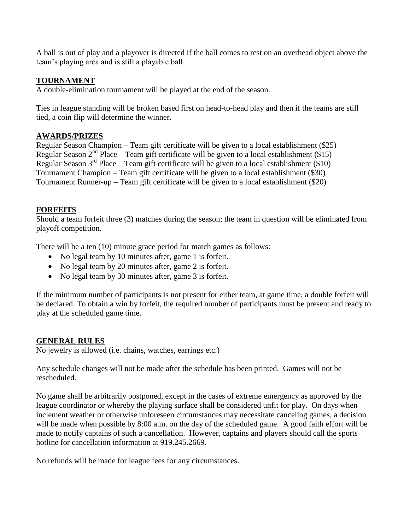A ball is out of play and a playover is directed if the ball comes to rest on an overhead object above the team's playing area and is still a playable ball.

#### **TOURNAMENT**

A double-elimination tournament will be played at the end of the season.

Ties in league standing will be broken based first on head-to-head play and then if the teams are still tied, a coin flip will determine the winner.

#### **AWARDS/PRIZES**

Regular Season Champion – Team gift certificate will be given to a local establishment (\$25) Regular Season  $2<sup>nd</sup>$  Place – Team gift certificate will be given to a local establishment (\$15) Regular Season  $3<sup>rd</sup>$  Place – Team gift certificate will be given to a local establishment (\$10) Tournament Champion – Team gift certificate will be given to a local establishment (\$30) Tournament Runner-up – Team gift certificate will be given to a local establishment (\$20)

#### **FORFEITS**

Should a team forfeit three (3) matches during the season; the team in question will be eliminated from playoff competition.

There will be a ten (10) minute grace period for match games as follows:

- No legal team by 10 minutes after, game 1 is forfeit.
- No legal team by 20 minutes after, game 2 is forfeit.
- No legal team by 30 minutes after, game 3 is forfeit.

If the minimum number of participants is not present for either team, at game time, a double forfeit will be declared. To obtain a win by forfeit, the required number of participants must be present and ready to play at the scheduled game time.

#### **GENERAL RULES**

No jewelry is allowed (i.e. chains, watches, earrings etc.)

Any schedule changes will not be made after the schedule has been printed. Games will not be rescheduled.

No game shall be arbitrarily postponed, except in the cases of extreme emergency as approved by the league coordinator or whereby the playing surface shall be considered unfit for play. On days when inclement weather or otherwise unforeseen circumstances may necessitate canceling games, a decision will be made when possible by 8:00 a.m. on the day of the scheduled game. A good faith effort will be made to notify captains of such a cancellation. However, captains and players should call the sports hotline for cancellation information at 919.245.2669.

No refunds will be made for league fees for any circumstances.